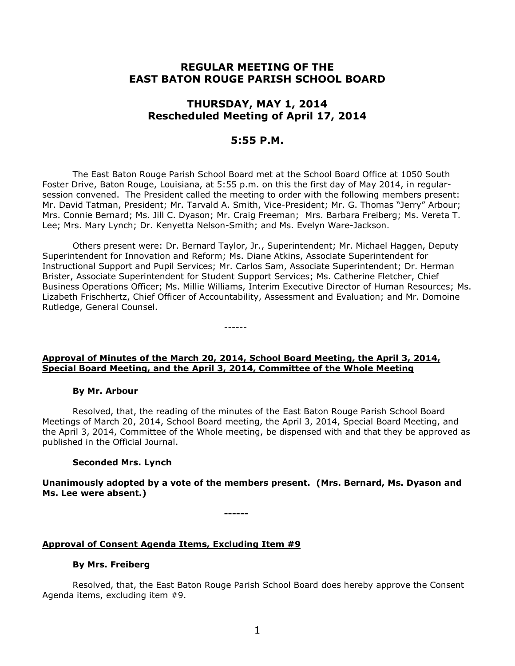# **REGULAR MEETING OF THE EAST BATON ROUGE PARISH SCHOOL BOARD**

# **THURSDAY, MAY 1, 2014 Rescheduled Meeting of April 17, 2014**

# **5:55 P.M.**

The East Baton Rouge Parish School Board met at the School Board Office at 1050 South Foster Drive, Baton Rouge, Louisiana, at 5:55 p.m. on this the first day of May 2014, in regularsession convened. The President called the meeting to order with the following members present: Mr. David Tatman, President; Mr. Tarvald A. Smith, Vice-President; Mr. G. Thomas "Jerry" Arbour; Mrs. Connie Bernard; Ms. Jill C. Dyason; Mr. Craig Freeman; Mrs. Barbara Freiberg; Ms. Vereta T. Lee; Mrs. Mary Lynch; Dr. Kenyetta Nelson-Smith; and Ms. Evelyn Ware-Jackson.

Others present were: Dr. Bernard Taylor, Jr., Superintendent; Mr. Michael Haggen, Deputy Superintendent for Innovation and Reform; Ms. Diane Atkins, Associate Superintendent for Instructional Support and Pupil Services; Mr. Carlos Sam, Associate Superintendent; Dr. Herman Brister, Associate Superintendent for Student Support Services; Ms. Catherine Fletcher, Chief Business Operations Officer; Ms. Millie Williams, Interim Executive Director of Human Resources; Ms. Lizabeth Frischhertz, Chief Officer of Accountability, Assessment and Evaluation; and Mr. Domoine Rutledge, General Counsel.

# **Approval of Minutes of the March 20, 2014, School Board Meeting, the April 3, 2014, Special Board Meeting, and the April 3, 2014, Committee of the Whole Meeting**

------

## **By Mr. Arbour**

Resolved, that, the reading of the minutes of the East Baton Rouge Parish School Board Meetings of March 20, 2014, School Board meeting, the April 3, 2014, Special Board Meeting, and the April 3, 2014, Committee of the Whole meeting, be dispensed with and that they be approved as published in the Official Journal.

## **Seconded Mrs. Lynch**

**Unanimously adopted by a vote of the members present. (Mrs. Bernard, Ms. Dyason and Ms. Lee were absent.)**

**------**

# **Approval of Consent Agenda Items, Excluding Item #9**

# **By Mrs. Freiberg**

Resolved, that, the East Baton Rouge Parish School Board does hereby approve the Consent Agenda items, excluding item #9.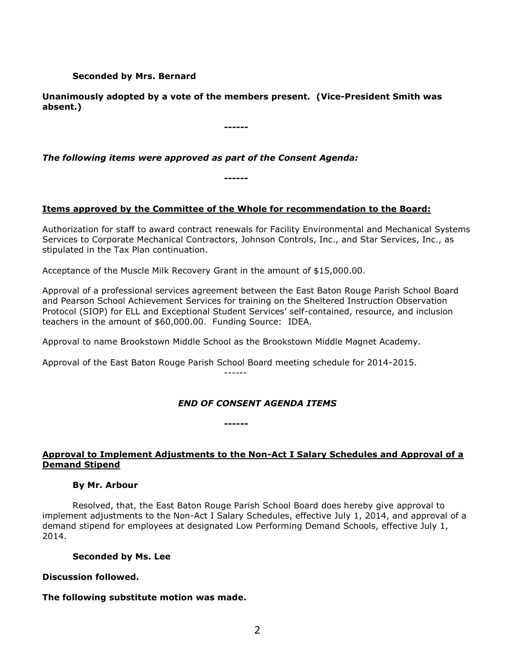## **Seconded by Mrs. Bernard**

**Unanimously adopted by a vote of the members present. (Vice-President Smith was absent.)**

**------**

*The following items were approved as part of the Consent Agenda:*

## **Items approved by the Committee of the Whole for recommendation to the Board:**

**------**

Authorization for staff to award contract renewals for Facility Environmental and Mechanical Systems Services to Corporate Mechanical Contractors, Johnson Controls, Inc., and Star Services, Inc., as stipulated in the Tax Plan continuation.

Acceptance of the Muscle Milk Recovery Grant in the amount of \$15,000.00.

Approval of a professional services agreement between the East Baton Rouge Parish School Board and Pearson School Achievement Services for training on the Sheltered Instruction Observation Protocol (SIOP) for ELL and Exceptional Student Services' self-contained, resource, and inclusion teachers in the amount of \$60,000.00. Funding Source: IDEA.

Approval to name Brookstown Middle School as the Brookstown Middle Magnet Academy.

Approval of the East Baton Rouge Parish School Board meeting schedule for 2014-2015. ------

**------**

# *END OF CONSENT AGENDA ITEMS*

# **Approval to Implement Adjustments to the Non-Act I Salary Schedules and Approval of a Demand Stipend**

## **By Mr. Arbour**

Resolved, that, the East Baton Rouge Parish School Board does hereby give approval to implement adjustments to the Non-Act I Salary Schedules, effective July 1, 2014, and approval of a demand stipend for employees at designated Low Performing Demand Schools, effective July 1, 2014.

#### **Seconded by Ms. Lee**

## **Discussion followed.**

## **The following substitute motion was made.**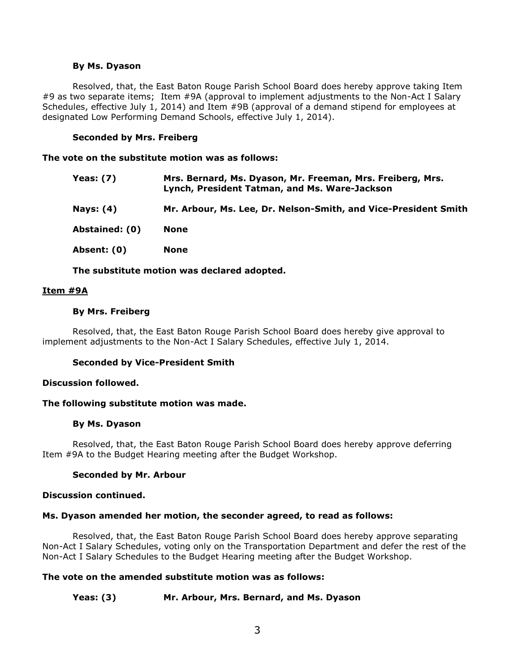#### **By Ms. Dyason**

Resolved, that, the East Baton Rouge Parish School Board does hereby approve taking Item #9 as two separate items; Item #9A (approval to implement adjustments to the Non-Act I Salary Schedules, effective July 1, 2014) and Item #9B (approval of a demand stipend for employees at designated Low Performing Demand Schools, effective July 1, 2014).

### **Seconded by Mrs. Freiberg**

**The vote on the substitute motion was as follows:**

- **Yeas: (7) Mrs. Bernard, Ms. Dyason, Mr. Freeman, Mrs. Freiberg, Mrs. Lynch, President Tatman, and Ms. Ware-Jackson**
- **Nays: (4) Mr. Arbour, Ms. Lee, Dr. Nelson-Smith, and Vice-President Smith**

**Abstained: (0) None**

**Absent: (0) None**

**The substitute motion was declared adopted.**

#### **Item #9A**

#### **By Mrs. Freiberg**

Resolved, that, the East Baton Rouge Parish School Board does hereby give approval to implement adjustments to the Non-Act I Salary Schedules, effective July 1, 2014.

#### **Seconded by Vice-President Smith**

#### **Discussion followed.**

#### **The following substitute motion was made.**

#### **By Ms. Dyason**

Resolved, that, the East Baton Rouge Parish School Board does hereby approve deferring Item #9A to the Budget Hearing meeting after the Budget Workshop.

#### **Seconded by Mr. Arbour**

#### **Discussion continued.**

## **Ms. Dyason amended her motion, the seconder agreed, to read as follows:**

Resolved, that, the East Baton Rouge Parish School Board does hereby approve separating Non-Act I Salary Schedules, voting only on the Transportation Department and defer the rest of the Non-Act I Salary Schedules to the Budget Hearing meeting after the Budget Workshop.

#### **The vote on the amended substitute motion was as follows:**

## **Yeas: (3) Mr. Arbour, Mrs. Bernard, and Ms. Dyason**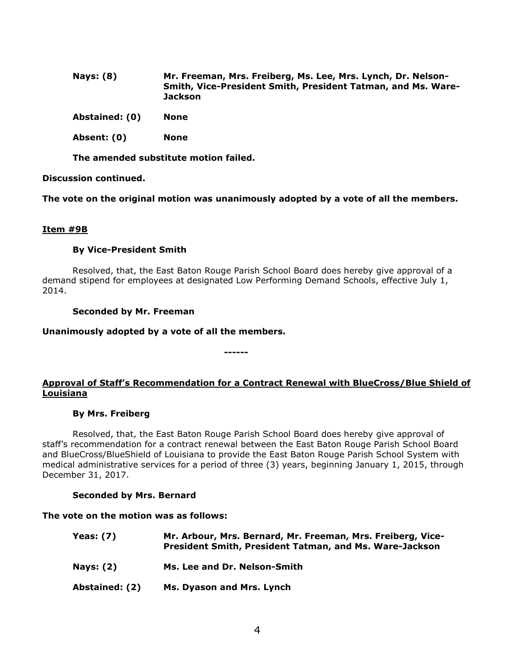- **Nays: (8) Mr. Freeman, Mrs. Freiberg, Ms. Lee, Mrs. Lynch, Dr. Nelson-Smith, Vice-President Smith, President Tatman, and Ms. Ware-Jackson**
- **Abstained: (0) None**
- **Absent: (0) None**

**The amended substitute motion failed.**

#### **Discussion continued.**

**The vote on the original motion was unanimously adopted by a vote of all the members.**

#### **Item #9B**

#### **By Vice-President Smith**

Resolved, that, the East Baton Rouge Parish School Board does hereby give approval of a demand stipend for employees at designated Low Performing Demand Schools, effective July 1, 2014.

**------**

#### **Seconded by Mr. Freeman**

#### **Unanimously adopted by a vote of all the members.**

# **Approval of Staff's Recommendation for a Contract Renewal with BlueCross/Blue Shield of Louisiana**

#### **By Mrs. Freiberg**

Resolved, that, the East Baton Rouge Parish School Board does hereby give approval of staff's recommendation for a contract renewal between the East Baton Rouge Parish School Board and BlueCross/BlueShield of Louisiana to provide the East Baton Rouge Parish School System with medical administrative services for a period of three (3) years, beginning January 1, 2015, through December 31, 2017.

#### **Seconded by Mrs. Bernard**

## **The vote on the motion was as follows:**

**Yeas: (7) Mr. Arbour, Mrs. Bernard, Mr. Freeman, Mrs. Freiberg, Vice-President Smith, President Tatman, and Ms. Ware-Jackson Nays: (2) Ms. Lee and Dr. Nelson-Smith Abstained: (2) Ms. Dyason and Mrs. Lynch**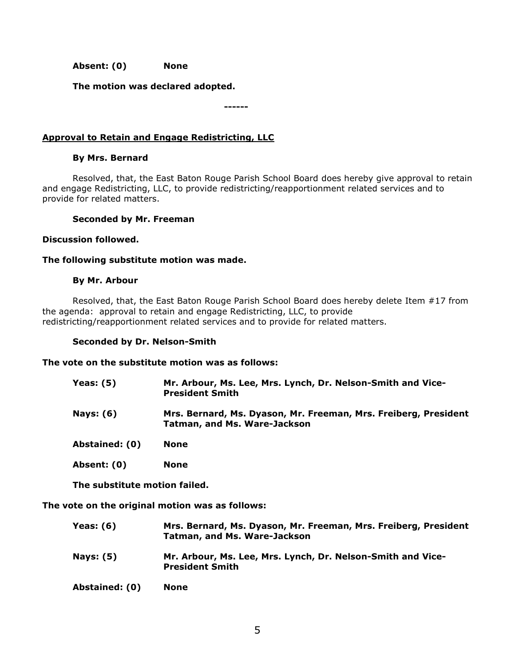**Absent: (0) None**

**The motion was declared adopted.**

**------**

# **Approval to Retain and Engage Redistricting, LLC**

## **By Mrs. Bernard**

Resolved, that, the East Baton Rouge Parish School Board does hereby give approval to retain and engage Redistricting, LLC, to provide redistricting/reapportionment related services and to provide for related matters.

#### **Seconded by Mr. Freeman**

#### **Discussion followed.**

### **The following substitute motion was made.**

#### **By Mr. Arbour**

Resolved, that, the East Baton Rouge Parish School Board does hereby delete Item #17 from the agenda:approval to retain and engage Redistricting, LLC, to provide redistricting/reapportionment related services and to provide for related matters.

#### **Seconded by Dr. Nelson-Smith**

#### **The vote on the substitute motion was as follows:**

| <b>Yeas: (5)</b> | Mr. Arbour, Ms. Lee, Mrs. Lynch, Dr. Nelson-Smith and Vice-<br><b>President Smith</b>                  |
|------------------|--------------------------------------------------------------------------------------------------------|
| <b>Nays: (6)</b> | Mrs. Bernard, Ms. Dyason, Mr. Freeman, Mrs. Freiberg, President<br><b>Tatman, and Ms. Ware-Jackson</b> |
| Abstained: (0)   | None                                                                                                   |
| Absent: (0)      | <b>None</b>                                                                                            |

**The substitute motion failed.**

**The vote on the original motion was as follows:**

| <b>Yeas: (6)</b> | Mrs. Bernard, Ms. Dyason, Mr. Freeman, Mrs. Freiberg, President<br><b>Tatman, and Ms. Ware-Jackson</b> |
|------------------|--------------------------------------------------------------------------------------------------------|
| <b>Nays: (5)</b> | Mr. Arbour, Ms. Lee, Mrs. Lynch, Dr. Nelson-Smith and Vice-<br><b>President Smith</b>                  |
| Abstained: (0)   | None                                                                                                   |